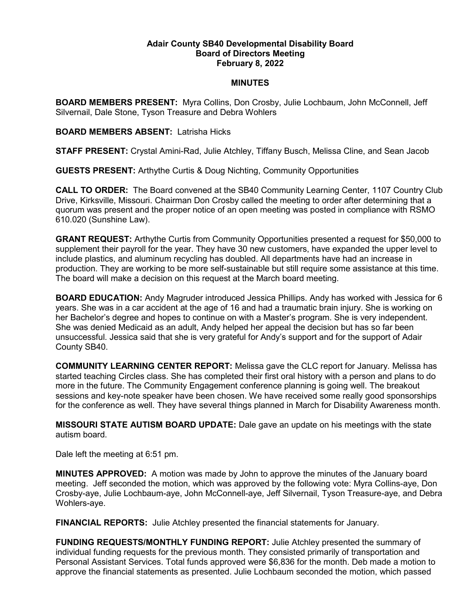## **Adair County SB40 Developmental Disability Board Board of Directors Meeting February 8, 2022**

## **MINUTES**

**BOARD MEMBERS PRESENT:** Myra Collins, Don Crosby, Julie Lochbaum, John McConnell, Jeff Silvernail, Dale Stone, Tyson Treasure and Debra Wohlers

**BOARD MEMBERS ABSENT:** Latrisha Hicks

**STAFF PRESENT:** Crystal Amini-Rad, Julie Atchley, Tiffany Busch, Melissa Cline, and Sean Jacob

**GUESTS PRESENT:** Arthythe Curtis & Doug Nichting, Community Opportunities

**CALL TO ORDER:** The Board convened at the SB40 Community Learning Center, 1107 Country Club Drive, Kirksville, Missouri. Chairman Don Crosby called the meeting to order after determining that a quorum was present and the proper notice of an open meeting was posted in compliance with RSMO 610.020 (Sunshine Law).

**GRANT REQUEST:** Arthythe Curtis from Community Opportunities presented a request for \$50,000 to supplement their payroll for the year. They have 30 new customers, have expanded the upper level to include plastics, and aluminum recycling has doubled. All departments have had an increase in production. They are working to be more self-sustainable but still require some assistance at this time. The board will make a decision on this request at the March board meeting.

**BOARD EDUCATION:** Andy Magruder introduced Jessica Phillips. Andy has worked with Jessica for 6 years. She was in a car accident at the age of 16 and had a traumatic brain injury. She is working on her Bachelor's degree and hopes to continue on with a Master's program. She is very independent. She was denied Medicaid as an adult, Andy helped her appeal the decision but has so far been unsuccessful. Jessica said that she is very grateful for Andy's support and for the support of Adair County SB40.

**COMMUNITY LEARNING CENTER REPORT:** Melissa gave the CLC report for January. Melissa has started teaching Circles class. She has completed their first oral history with a person and plans to do more in the future. The Community Engagement conference planning is going well. The breakout sessions and key-note speaker have been chosen. We have received some really good sponsorships for the conference as well. They have several things planned in March for Disability Awareness month.

**MISSOURI STATE AUTISM BOARD UPDATE:** Dale gave an update on his meetings with the state autism board.

Dale left the meeting at 6:51 pm.

**MINUTES APPROVED:** A motion was made by John to approve the minutes of the January board meeting. Jeff seconded the motion, which was approved by the following vote: Myra Collins-aye, Don Crosby-aye, Julie Lochbaum-aye, John McConnell-aye, Jeff Silvernail, Tyson Treasure-aye, and Debra Wohlers-aye.

**FINANCIAL REPORTS:** Julie Atchley presented the financial statements for January.

**FUNDING REQUESTS/MONTHLY FUNDING REPORT:** Julie Atchley presented the summary of individual funding requests for the previous month. They consisted primarily of transportation and Personal Assistant Services. Total funds approved were \$6,836 for the month. Deb made a motion to approve the financial statements as presented. Julie Lochbaum seconded the motion, which passed